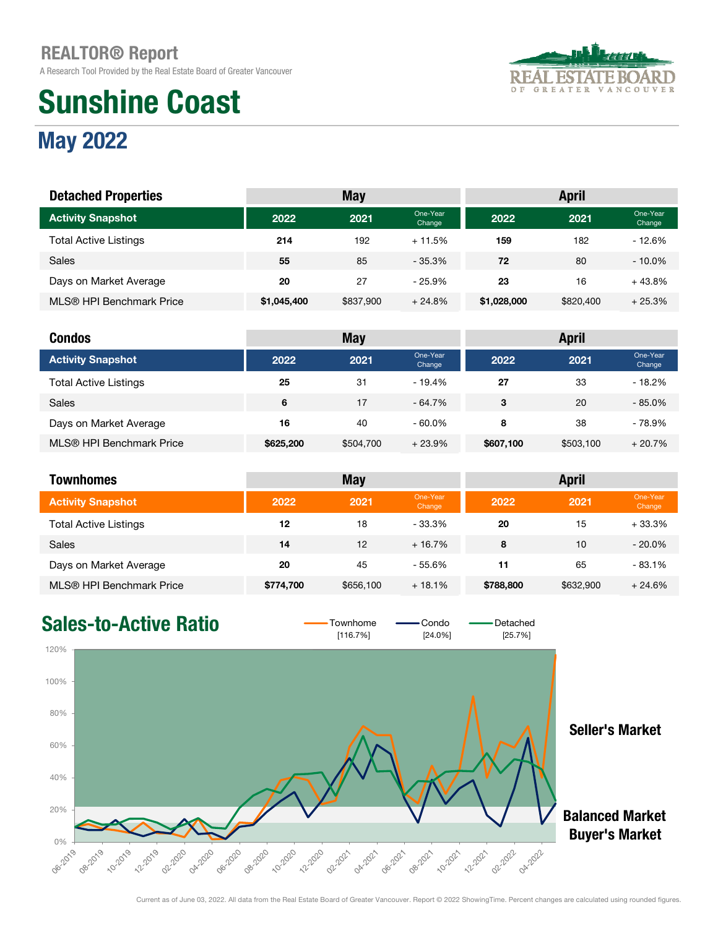A Research Tool Provided by the Real Estate Board of Greater Vancouver

# Sunshine Coast



### May 2022

| <b>Detached Properties</b>   |             | <b>May</b> |                    |             | <b>April</b> |                    |
|------------------------------|-------------|------------|--------------------|-------------|--------------|--------------------|
| <b>Activity Snapshot</b>     | 2022        | 2021       | One-Year<br>Change | 2022        | 2021         | One-Year<br>Change |
| <b>Total Active Listings</b> | 214         | 192        | $+11.5%$           | 159         | 182          | $-12.6%$           |
| Sales                        | 55          | 85         | $-35.3%$           | 72          | 80           | $-10.0\%$          |
| Days on Market Average       | 20          | 27         | $-25.9%$           | 23          | 16           | $+43.8%$           |
| MLS® HPI Benchmark Price     | \$1,045,400 | \$837,900  | $+24.8%$           | \$1,028,000 | \$820,400    | $+25.3%$           |

| <b>Condos</b>                |           | <b>May</b> |                    |           | <b>April</b> |                    |
|------------------------------|-----------|------------|--------------------|-----------|--------------|--------------------|
| <b>Activity Snapshot</b>     | 2022      | 2021       | One-Year<br>Change | 2022      | 2021         | One-Year<br>Change |
| <b>Total Active Listings</b> | 25        | 31         | $-19.4%$           | 27        | 33           | $-18.2%$           |
| <b>Sales</b>                 | 6         | 17         | $-64.7\%$          | 3         | 20           | $-85.0%$           |
| Days on Market Average       | 16        | 40         | $-60.0\%$          | 8         | 38           | - 78.9%            |
| MLS® HPI Benchmark Price     | \$625,200 | \$504,700  | $+23.9%$           | \$607,100 | \$503,100    | $+20.7%$           |

| <b>Townhomes</b>             |           | <b>May</b> |                    |           | <b>April</b> |                    |
|------------------------------|-----------|------------|--------------------|-----------|--------------|--------------------|
| <b>Activity Snapshot</b>     | 2022      | 2021       | One-Year<br>Change | 2022      | 2021         | One-Year<br>Change |
| <b>Total Active Listings</b> | 12        | 18         | $-33.3%$           | 20        | 15           | $+33.3%$           |
| Sales                        | 14        | 12         | $+16.7\%$          | 8         | 10           | $-20.0\%$          |
| Days on Market Average       | 20        | 45         | $-55.6%$           | 11        | 65           | $-83.1%$           |
| MLS® HPI Benchmark Price     | \$774,700 | \$656,100  | $+18.1%$           | \$788,800 | \$632,900    | $+24.6%$           |

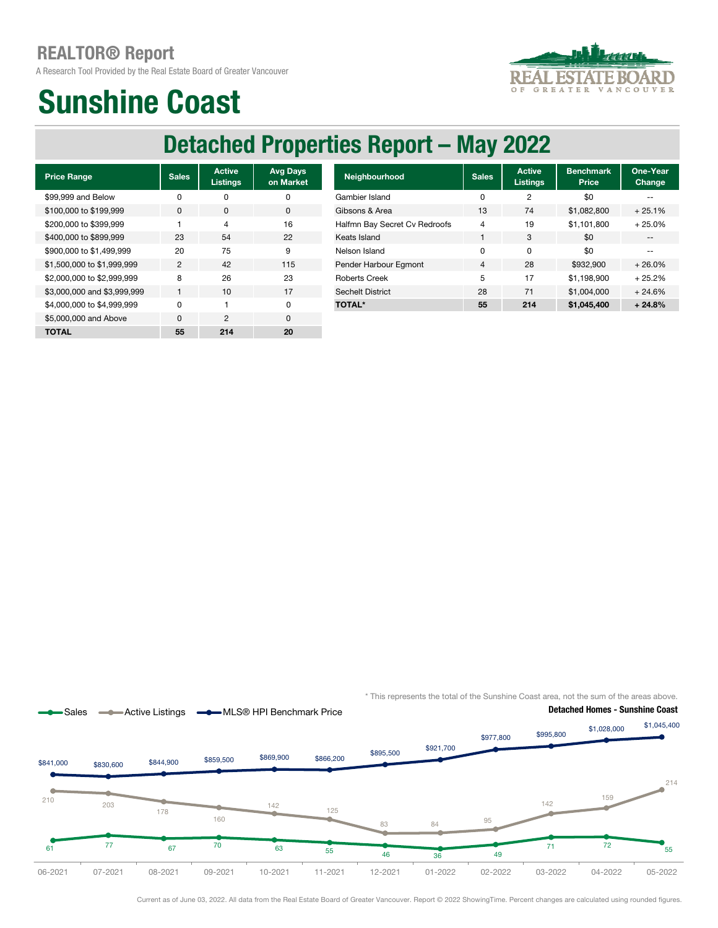A Research Tool Provided by the Real Estate Board of Greater Vancouver



### Sunshine Coast

### Detached Properties Report – May 2022

| <b>Price Range</b>          | <b>Sales</b> | <b>Active</b><br><b>Listings</b> | <b>Avg Days</b><br>on Market |
|-----------------------------|--------------|----------------------------------|------------------------------|
| \$99,999 and Below          | U            | ŋ                                | ŋ                            |
| \$100,000 to \$199,999      | <sup>0</sup> | O                                | 0                            |
| \$200,000 to \$399,999      | 1            | $\overline{4}$                   | 16                           |
| \$400,000 to \$899,999      | 23           | 54                               | 22                           |
| \$900,000 to \$1,499,999    | 20           | 75                               | 9                            |
| \$1,500,000 to \$1,999,999  | 2            | 42                               | 115                          |
| \$2,000,000 to \$2,999,999  | 8            | 26                               | 23                           |
| \$3,000,000 and \$3,999,999 | 1            | 10                               | 17                           |
| \$4,000,000 to \$4,999,999  | U            | 1                                | O                            |
| \$5,000,000 and Above       | $\Omega$     | $\mathfrak{p}$                   | $\Omega$                     |
| ΤΟΤΑL                       | 55           | 214                              | 20                           |

| <b>Price Range</b>          | <b>Sales</b>   | <b>Active</b><br><b>Listings</b> | <b>Avg Days</b><br>on Market | <b>Neighbourhood</b>          | <b>Sales</b> | <b>Active</b><br><b>Listings</b> | <b>Benchmark</b><br>Price | One-Year<br><b>Change</b> |
|-----------------------------|----------------|----------------------------------|------------------------------|-------------------------------|--------------|----------------------------------|---------------------------|---------------------------|
| \$99.999 and Below          | 0              | 0                                | 0                            | Gambier Island                | 0            | 2                                | \$0                       | $- -$                     |
| \$100,000 to \$199,999      | $\mathbf{0}$   | $\mathbf{0}$                     | $\mathbf 0$                  | Gibsons & Area                | 13           | 74                               | \$1.082.800               | $+25.1%$                  |
| \$200,000 to \$399,999      |                | 4                                | 16                           | Halfmn Bay Secret Cv Redroofs | 4            | 19                               | \$1.101.800               | $+25.0%$                  |
| \$400,000 to \$899.999      | 23             | 54                               | 22                           | Keats Island                  |              | 3                                | \$0                       | $- -$                     |
| \$900,000 to \$1.499.999    | 20             | 75                               | 9                            | Nelson Island                 | 0            | 0                                | \$0                       | $-$                       |
| \$1.500.000 to \$1.999.999  | $\overline{2}$ | 42                               | 115                          | Pender Harbour Egmont         | 4            | 28                               | \$932,900                 | $+26.0%$                  |
| \$2,000,000 to \$2,999,999  | 8              | 26                               | 23                           | <b>Roberts Creek</b>          | 5            | 17                               | \$1.198.900               | $+25.2%$                  |
| \$3,000,000 and \$3,999,999 |                | 10                               | 17                           | <b>Sechelt District</b>       | 28           | 71                               | \$1,004,000               | $+24.6%$                  |
| \$4.000.000 to \$4.999.999  | $\Omega$       |                                  | 0                            | <b>TOTAL*</b>                 | 55           | 214                              | \$1,045,400               | $+24.8%$                  |
|                             |                |                                  |                              |                               |              |                                  |                           |                           |

\* This represents the total of the Sunshine Coast area, not the sum of the areas above.



Current as of June 03, 2022. All data from the Real Estate Board of Greater Vancouver. Report © 2022 ShowingTime. Percent changes are calculated using rounded figures.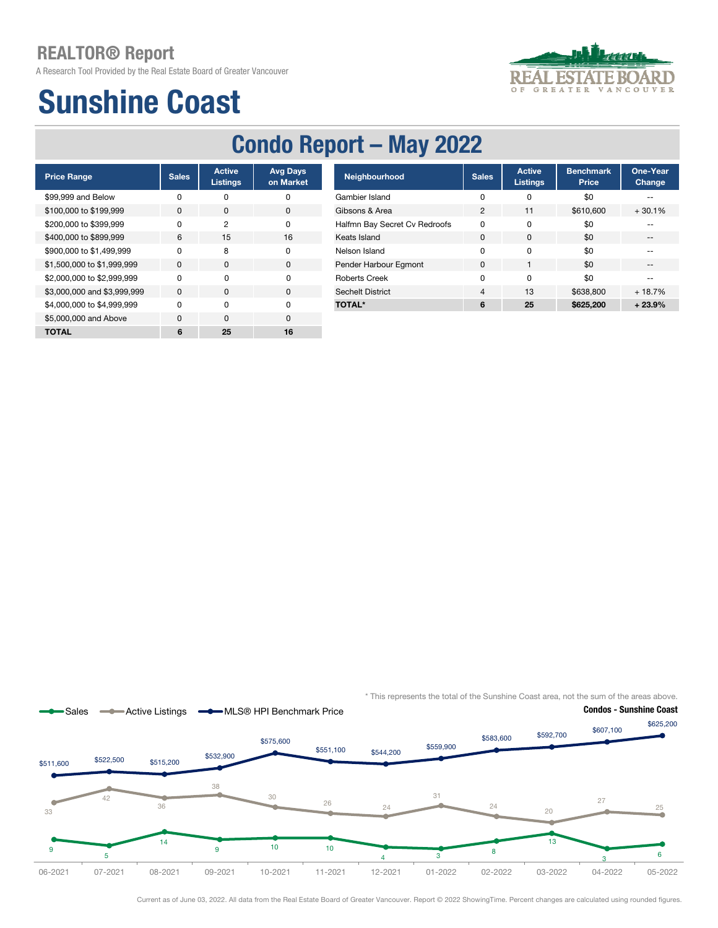A Research Tool Provided by the Real Estate Board of Greater Vancouver

## Sunshine Coast

### Condo Report – May 2022

| <b>Price Range</b>          | <b>Sales</b> | <b>Active</b><br><b>Listings</b> | <b>Avg Days</b><br>on Market |
|-----------------------------|--------------|----------------------------------|------------------------------|
| \$99,999 and Below          | ŋ            | n                                | O                            |
| \$100,000 to \$199,999      | $\Omega$     | <sup>0</sup>                     | 0                            |
| \$200,000 to \$399,999      | U            | 2                                | O                            |
| \$400,000 to \$899,999      | 6            | 15                               | 16                           |
| \$900,000 to \$1,499,999    | n            | 8                                | O                            |
| \$1,500,000 to \$1,999,999  | <sup>0</sup> | $\Omega$                         | $\Omega$                     |
| \$2,000,000 to \$2,999,999  | n            | O                                | O                            |
| \$3,000,000 and \$3,999,999 | $\Omega$     | O                                | $\Omega$                     |
| \$4,000,000 to \$4,999,999  | U            | O                                | O                            |
| \$5,000,000 and Above       | $\Omega$     | $\Omega$                         | $\Omega$                     |
| TOTAL                       | 6            | 25                               | 16                           |

| <b>Price Range</b>          | <b>Sales</b> | <b>Active</b><br>Listings | <b>Avg Days</b><br>on Market | Neighbourhood                 | <b>Sales</b>   | <b>Active</b><br><b>Listings</b> | <b>Benchmark</b><br>Price | One-Year<br><b>Change</b> |
|-----------------------------|--------------|---------------------------|------------------------------|-------------------------------|----------------|----------------------------------|---------------------------|---------------------------|
| \$99.999 and Below          | 0            | 0                         | 0                            | Gambier Island                | 0              | 0                                | \$0                       | $\sim$ $\sim$             |
| \$100,000 to \$199,999      | $\mathbf{0}$ | $\mathbf{0}$              | 0                            | Gibsons & Area                | $\overline{2}$ | 11                               | \$610,600                 | $+30.1%$                  |
| \$200,000 to \$399,999      | $\Omega$     | 2                         | 0                            | Halfmn Bay Secret Cv Redroofs | 0              | 0                                | \$0                       |                           |
| \$400,000 to \$899.999      | 6            | 15                        | 16                           | Keats Island                  | $\Omega$       | $\Omega$                         | \$0                       | $\overline{\phantom{a}}$  |
| \$900,000 to \$1.499.999    | 0            | 8                         | 0                            | Nelson Island                 | 0              | 0                                | \$0                       | $-$                       |
| \$1,500,000 to \$1,999,999  | $\mathbf 0$  | $\mathbf 0$               | 0                            | Pender Harbour Egmont         | 0              |                                  | \$0                       | $- -$                     |
| \$2,000,000 to \$2,999,999  | 0            | 0                         | 0                            | <b>Roberts Creek</b>          | 0              | 0                                | \$0                       | $\overline{\phantom{a}}$  |
| \$3,000,000 and \$3,999,999 | $\mathbf{0}$ | $\mathbf{0}$              | 0                            | <b>Sechelt District</b>       | 4              | 13                               | \$638,800                 | $+18.7%$                  |
| \$4.000.000 to \$4.999.999  | $\Omega$     | 0                         | 0                            | <b>TOTAL*</b>                 | 6              | 25                               | \$625,200                 | $+23.9%$                  |
|                             |              |                           |                              |                               |                |                                  |                           |                           |

\* This represents the total of the Sunshine Coast area, not the sum of the areas above.



Current as of June 03, 2022. All data from the Real Estate Board of Greater Vancouver. Report © 2022 ShowingTime. Percent changes are calculated using rounded figures.

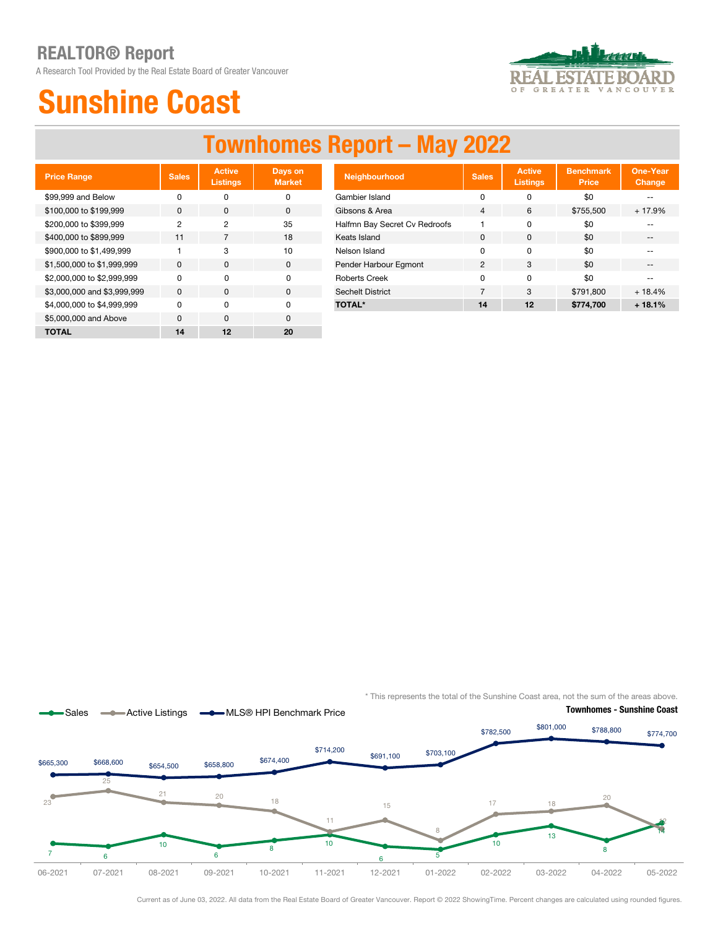A Research Tool Provided by the Real Estate Board of Greater Vancouver



## Sunshine Coast

### Townhomes Report – May 2022

| <b>Price Range</b>          | <b>Sales</b> | <b>Active</b><br><b>Listings</b> | Days on<br><b>Market</b> |
|-----------------------------|--------------|----------------------------------|--------------------------|
| \$99,999 and Below          | ŋ            | n                                | ŋ                        |
| \$100,000 to \$199,999      | $\Omega$     | O                                | O                        |
| \$200,000 to \$399,999      | 2            | 2                                | 35                       |
| \$400,000 to \$899,999      | 11           | 7                                | 18                       |
| \$900,000 to \$1,499,999    |              | 3                                | 10                       |
| \$1,500,000 to \$1,999,999  | <sup>0</sup> | $\Omega$                         | O                        |
| \$2,000,000 to \$2,999,999  | U            | $\Omega$                         | O                        |
| \$3,000,000 and \$3,999,999 | <sup>0</sup> | <sup>0</sup>                     | $\Omega$                 |
| \$4,000,000 to \$4,999,999  | U            | O                                | U                        |
| \$5,000,000 and Above       | $\Omega$     | $\Omega$                         | n                        |
| TOTAL                       | 14           | 12                               | 20                       |

| <b>Price Range</b>          | <b>Sales</b> | <b>Active</b><br>Listings | Days on<br><b>Market</b> | <b>Neighbourhood</b>          | <b>Sales</b>   | <b>Active</b><br><b>Listings</b> | <b>Benchmark</b><br><b>Price</b> | One-Year<br>Change |
|-----------------------------|--------------|---------------------------|--------------------------|-------------------------------|----------------|----------------------------------|----------------------------------|--------------------|
| \$99,999 and Below          | 0            | 0                         | 0                        | Gambier Island                | 0              | 0                                | \$0                              | --                 |
| \$100,000 to \$199,999      | 0            | $\mathbf{0}$              | $\mathbf{0}$             | Gibsons & Area                | $\overline{4}$ | 6                                | \$755,500                        | $+17.9%$           |
| \$200,000 to \$399,999      | 2            | 2                         | 35                       | Halfmn Bay Secret Cv Redroofs |                |                                  | \$0                              |                    |
| \$400,000 to \$899,999      | 11           |                           | 18                       | Keats Island                  | 0              | 0                                | \$0                              | $- -$              |
| \$900,000 to \$1,499,999    |              | 3                         | 10                       | Nelson Island                 | 0              | 0                                | \$0                              |                    |
| \$1.500,000 to \$1.999.999  | $\mathbf 0$  | $\mathbf{0}$              | $\mathbf 0$              | Pender Harbour Egmont         | $\overline{2}$ | 3                                | \$0                              | $- -$              |
| \$2,000,000 to \$2,999,999  | 0            | 0                         | 0                        | <b>Roberts Creek</b>          | O              | 0                                | \$0                              |                    |
| \$3,000,000 and \$3,999,999 | 0            | $\mathbf{0}$              | 0                        | <b>Sechelt District</b>       |                | 3                                | \$791.800                        | $+18.4%$           |
| \$4.000.000 to \$4.999.999  | 0            | 0                         | 0                        | <b>TOTAL*</b>                 | 14             | 12                               | \$774.700                        | $+18.1%$           |
|                             |              |                           |                          |                               |                |                                  |                                  |                    |

\* This represents the total of the Sunshine Coast area, not the sum of the areas above.



Current as of June 03, 2022. All data from the Real Estate Board of Greater Vancouver. Report © 2022 ShowingTime. Percent changes are calculated using rounded figures.